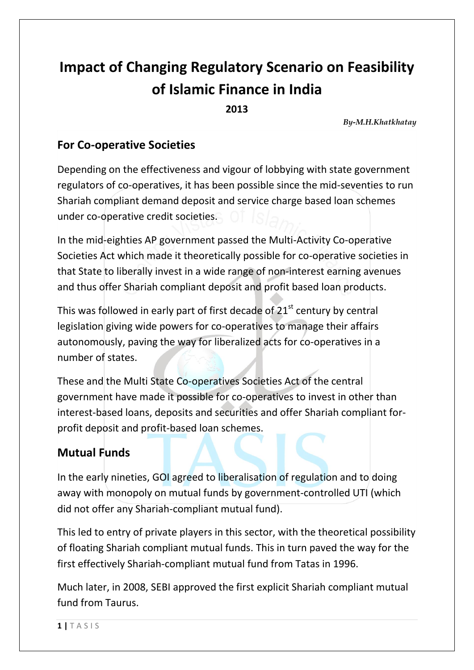# **Impact of Changing Regulatory Scenario on Feasibility of Islamic Finance in India**

**2013**

*By-M.H.Khatkhatay*

#### **For Co-operative Societies**

Depending on the effectiveness and vigour of lobbying with state government regulators of co-operatives, it has been possible since the mid-seventies to run Shariah compliant demand deposit and service charge based loan schemes under co-operative credit societies.

In the mid-eighties AP government passed the Multi-Activity Co-operative Societies Act which made it theoretically possible for co-operative societies in that State to liberally invest in a wide range of non-interest earning avenues and thus offer Shariah compliant deposit and profit based loan products.

This was followed in early part of first decade of  $21<sup>st</sup>$  century by central legislation giving wide powers for co-operatives to manage their affairs autonomously, paving the way for liberalized acts for co-operatives in a number of states.

These and the Multi State Co-operatives Societies Act of the central government have made it possible for co-operatives to invest in other than interest-based loans, deposits and securities and offer Shariah compliant forprofit deposit and profit-based loan schemes.

## **Mutual Funds**

In the early nineties, GOI agreed to liberalisation of regulation and to doing away with monopoly on mutual funds by government-controlled UTI (which did not offer any Shariah-compliant mutual fund).

This led to entry of private players in this sector, with the theoretical possibility of floating Shariah compliant mutual funds. This in turn paved the way for the first effectively Shariah-compliant mutual fund from Tatas in 1996.

Much later, in 2008, SEBI approved the first explicit Shariah compliant mutual fund from Taurus.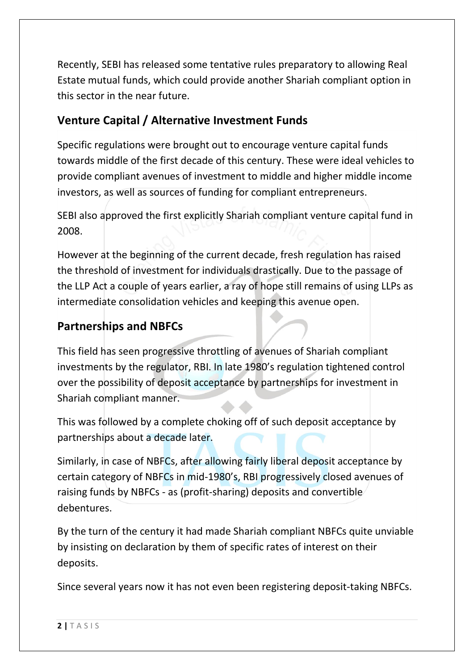Recently, SEBI has released some tentative rules preparatory to allowing Real Estate mutual funds, which could provide another Shariah compliant option in this sector in the near future.

# **Venture Capital / Alternative Investment Funds**

Specific regulations were brought out to encourage venture capital funds towards middle of the first decade of this century. These were ideal vehicles to provide compliant avenues of investment to middle and higher middle income investors, as well as sources of funding for compliant entrepreneurs.

SEBI also approved the first explicitly Shariah compliant venture capital fund in 2008.

However at the beginning of the current decade, fresh regulation has raised the threshold of investment for individuals drastically. Due to the passage of the LLP Act a couple of years earlier, a ray of hope still remains of using LLPs as intermediate consolidation vehicles and keeping this avenue open.

## **Partnerships and NBFCs**

This field has seen progressive throttling of avenues of Shariah compliant investments by the regulator, RBI. In late 1980's regulation tightened control over the possibility of deposit acceptance by partnerships for investment in Shariah compliant manner.

This was followed by a complete choking off of such deposit acceptance by partnerships about a decade later.

Similarly, in case of NBFCs, after allowing fairly liberal deposit acceptance by certain category of NBFCs in mid-1980's, RBI progressively closed avenues of raising funds by NBFCs - as (profit-sharing) deposits and convertible debentures.

By the turn of the century it had made Shariah compliant NBFCs quite unviable by insisting on declaration by them of specific rates of interest on their deposits.

Since several years now it has not even been registering deposit-taking NBFCs.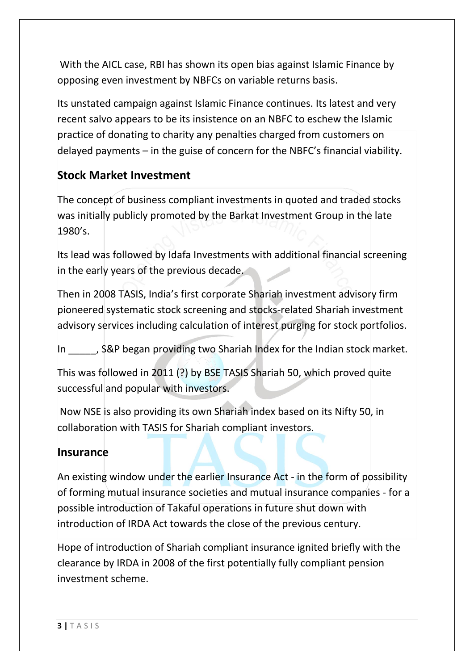With the AICL case, RBI has shown its open bias against Islamic Finance by opposing even investment by NBFCs on variable returns basis.

Its unstated campaign against Islamic Finance continues. Its latest and very recent salvo appears to be its insistence on an NBFC to eschew the Islamic practice of donating to charity any penalties charged from customers on delayed payments – in the guise of concern for the NBFC's financial viability.

#### **Stock Market Investment**

The concept of business compliant investments in quoted and traded stocks was initially publicly promoted by the Barkat Investment Group in the late 1980's.

Its lead was followed by Idafa Investments with additional financial screening in the early years of the previous decade.

Then in 2008 TASIS, India's first corporate Shariah investment advisory firm pioneered systematic stock screening and stocks-related Shariah investment advisory services including calculation of interest purging for stock portfolios.

In . S&P began providing two Shariah Index for the Indian stock market.

This was followed in 2011 (?) by BSE TASIS Shariah 50, which proved quite successful and popular with investors.

Now NSE is also providing its own Shariah index based on its Nifty 50, in collaboration with TASIS for Shariah compliant investors.

#### **Insurance**

An existing window under the earlier Insurance Act - in the form of possibility of forming mutual insurance societies and mutual insurance companies - for a possible introduction of Takaful operations in future shut down with introduction of IRDA Act towards the close of the previous century.

Hope of introduction of Shariah compliant insurance ignited briefly with the clearance by IRDA in 2008 of the first potentially fully compliant pension investment scheme.